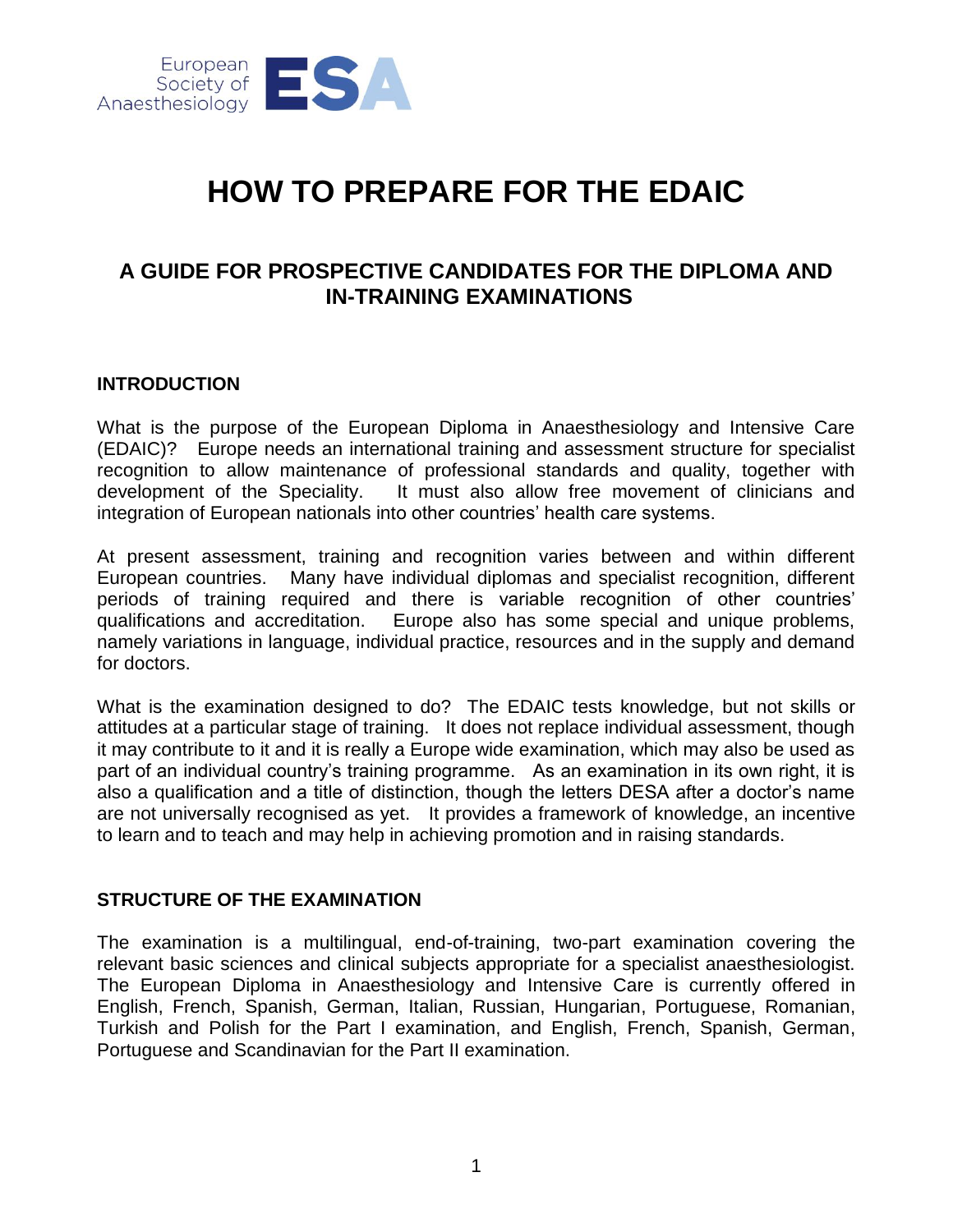

# **HOW TO PREPARE FOR THE EDAIC**

# **A GUIDE FOR PROSPECTIVE CANDIDATES FOR THE DIPLOMA AND IN-TRAINING EXAMINATIONS**

#### **INTRODUCTION**

What is the purpose of the European Diploma in Anaesthesiology and Intensive Care (EDAIC)? Europe needs an international training and assessment structure for specialist recognition to allow maintenance of professional standards and quality, together with development of the Speciality. It must also allow free movement of clinicians and integration of European nationals into other countries' health care systems.

At present assessment, training and recognition varies between and within different European countries. Many have individual diplomas and specialist recognition, different periods of training required and there is variable recognition of other countries' qualifications and accreditation. Europe also has some special and unique problems, namely variations in language, individual practice, resources and in the supply and demand for doctors.

What is the examination designed to do? The EDAIC tests knowledge, but not skills or attitudes at a particular stage of training. It does not replace individual assessment, though it may contribute to it and it is really a Europe wide examination, which may also be used as part of an individual country's training programme. As an examination in its own right, it is also a qualification and a title of distinction, though the letters DESA after a doctor's name are not universally recognised as yet. It provides a framework of knowledge, an incentive to learn and to teach and may help in achieving promotion and in raising standards.

#### **STRUCTURE OF THE EXAMINATION**

The examination is a multilingual, end-of-training, two-part examination covering the relevant basic sciences and clinical subjects appropriate for a specialist anaesthesiologist. The European Diploma in Anaesthesiology and Intensive Care is currently offered in English, French, Spanish, German, Italian, Russian, Hungarian, Portuguese, Romanian, Turkish and Polish for the Part I examination, and English, French, Spanish, German, Portuguese and Scandinavian for the Part II examination.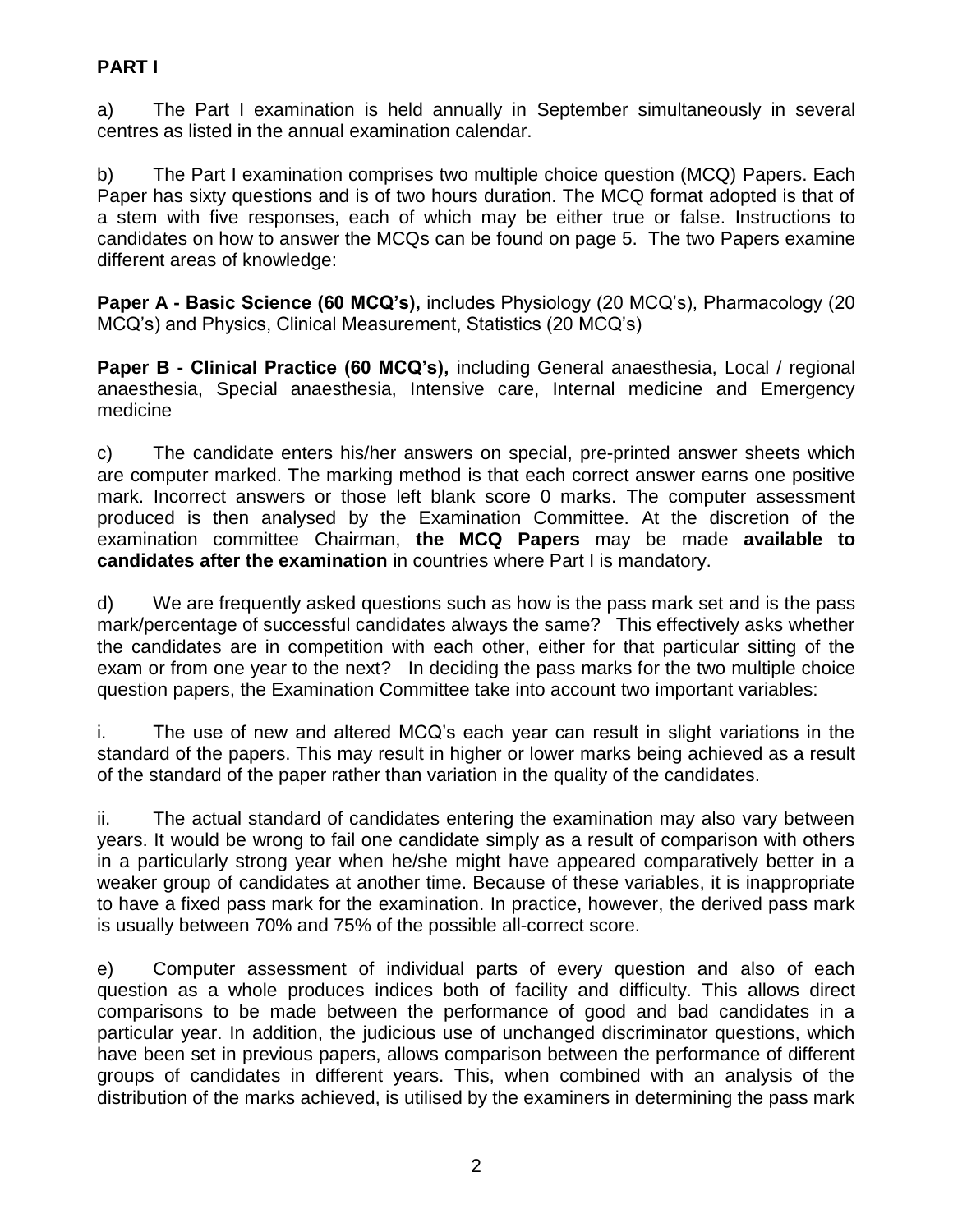# **PART I**

a) The Part I examination is held annually in September simultaneously in several centres as listed in the annual examination calendar.

b) The Part I examination comprises two multiple choice question (MCQ) Papers. Each Paper has sixty questions and is of two hours duration. The MCQ format adopted is that of a stem with five responses, each of which may be either true or false. Instructions to candidates on how to answer the MCQs can be found on page 5. The two Papers examine different areas of knowledge:

**Paper A - Basic Science (60 MCQ's),** includes Physiology (20 MCQ's), Pharmacology (20 MCQ's) and Physics, Clinical Measurement, Statistics (20 MCQ's)

**Paper B - Clinical Practice (60 MCQ's),** including General anaesthesia, Local / regional anaesthesia, Special anaesthesia, Intensive care, Internal medicine and Emergency medicine

c) The candidate enters his/her answers on special, pre-printed answer sheets which are computer marked. The marking method is that each correct answer earns one positive mark. Incorrect answers or those left blank score 0 marks. The computer assessment produced is then analysed by the Examination Committee. At the discretion of the examination committee Chairman, **the MCQ Papers** may be made **available to candidates after the examination** in countries where Part I is mandatory.

d) We are frequently asked questions such as how is the pass mark set and is the pass mark/percentage of successful candidates always the same? This effectively asks whether the candidates are in competition with each other, either for that particular sitting of the exam or from one year to the next? In deciding the pass marks for the two multiple choice question papers, the Examination Committee take into account two important variables:

i. The use of new and altered MCQ's each year can result in slight variations in the standard of the papers. This may result in higher or lower marks being achieved as a result of the standard of the paper rather than variation in the quality of the candidates.

ii. The actual standard of candidates entering the examination may also vary between years. It would be wrong to fail one candidate simply as a result of comparison with others in a particularly strong year when he/she might have appeared comparatively better in a weaker group of candidates at another time. Because of these variables, it is inappropriate to have a fixed pass mark for the examination. In practice, however, the derived pass mark is usually between 70% and 75% of the possible all-correct score.

e) Computer assessment of individual parts of every question and also of each question as a whole produces indices both of facility and difficulty. This allows direct comparisons to be made between the performance of good and bad candidates in a particular year. In addition, the judicious use of unchanged discriminator questions, which have been set in previous papers, allows comparison between the performance of different groups of candidates in different years. This, when combined with an analysis of the distribution of the marks achieved, is utilised by the examiners in determining the pass mark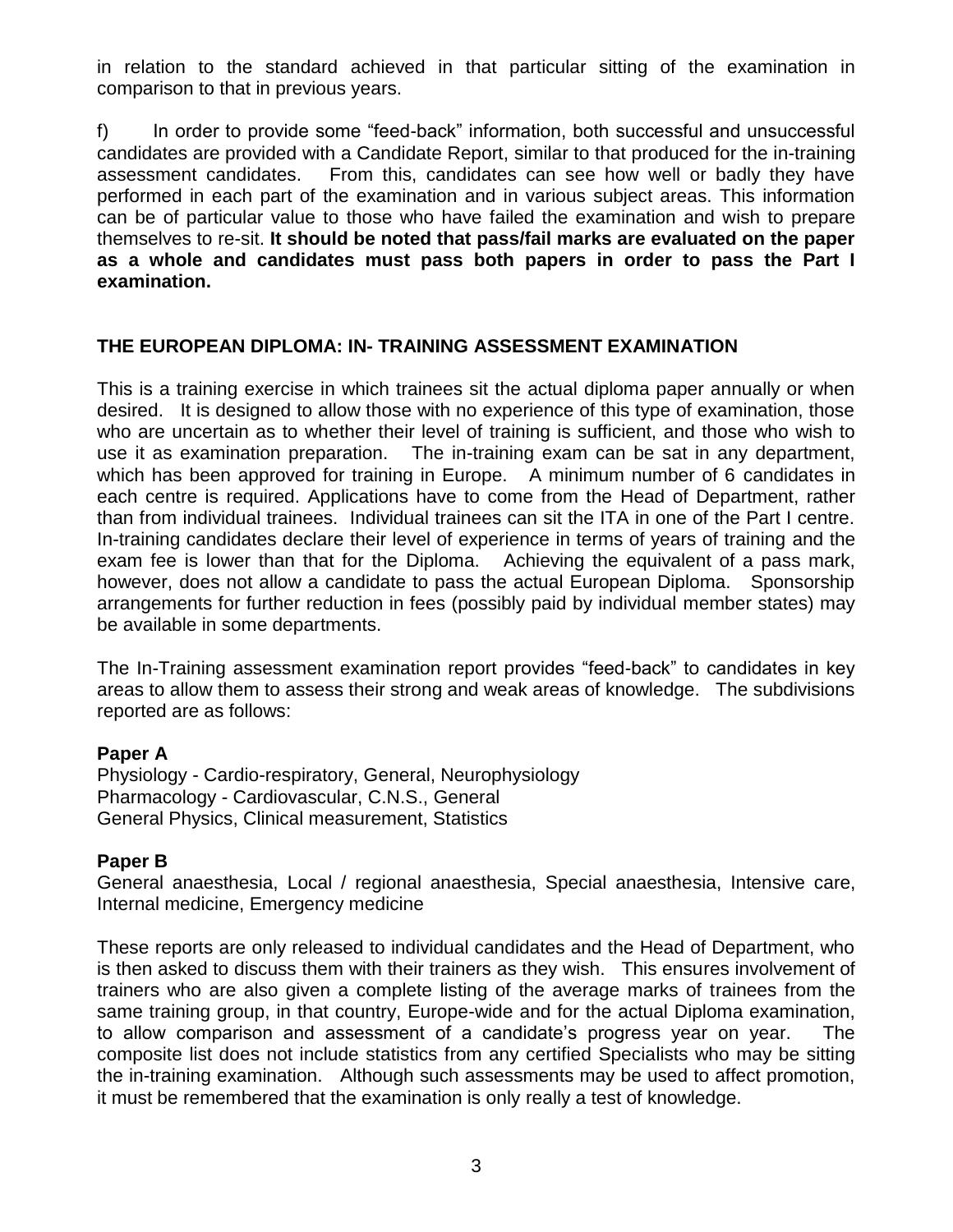in relation to the standard achieved in that particular sitting of the examination in comparison to that in previous years.

f) In order to provide some "feed-back" information, both successful and unsuccessful candidates are provided with a Candidate Report, similar to that produced for the in-training assessment candidates. From this, candidates can see how well or badly they have performed in each part of the examination and in various subject areas. This information can be of particular value to those who have failed the examination and wish to prepare themselves to re-sit. **It should be noted that pass/fail marks are evaluated on the paper as a whole and candidates must pass both papers in order to pass the Part I examination.**

# **THE EUROPEAN DIPLOMA: IN- TRAINING ASSESSMENT EXAMINATION**

This is a training exercise in which trainees sit the actual diploma paper annually or when desired. It is designed to allow those with no experience of this type of examination, those who are uncertain as to whether their level of training is sufficient, and those who wish to use it as examination preparation. The in-training exam can be sat in any department, which has been approved for training in Europe. A minimum number of 6 candidates in each centre is required. Applications have to come from the Head of Department, rather than from individual trainees. Individual trainees can sit the ITA in one of the Part I centre. In-training candidates declare their level of experience in terms of years of training and the exam fee is lower than that for the Diploma. Achieving the equivalent of a pass mark, however, does not allow a candidate to pass the actual European Diploma. Sponsorship arrangements for further reduction in fees (possibly paid by individual member states) may be available in some departments.

The In-Training assessment examination report provides "feed-back" to candidates in key areas to allow them to assess their strong and weak areas of knowledge. The subdivisions reported are as follows:

#### **Paper A**

Physiology - Cardio-respiratory, General, Neurophysiology Pharmacology - Cardiovascular, C.N.S., General General Physics, Clinical measurement, Statistics

#### **Paper B**

General anaesthesia, Local / regional anaesthesia, Special anaesthesia, Intensive care, Internal medicine, Emergency medicine

These reports are only released to individual candidates and the Head of Department, who is then asked to discuss them with their trainers as they wish. This ensures involvement of trainers who are also given a complete listing of the average marks of trainees from the same training group, in that country, Europe-wide and for the actual Diploma examination, to allow comparison and assessment of a candidate's progress year on year. The composite list does not include statistics from any certified Specialists who may be sitting the in-training examination. Although such assessments may be used to affect promotion, it must be remembered that the examination is only really a test of knowledge.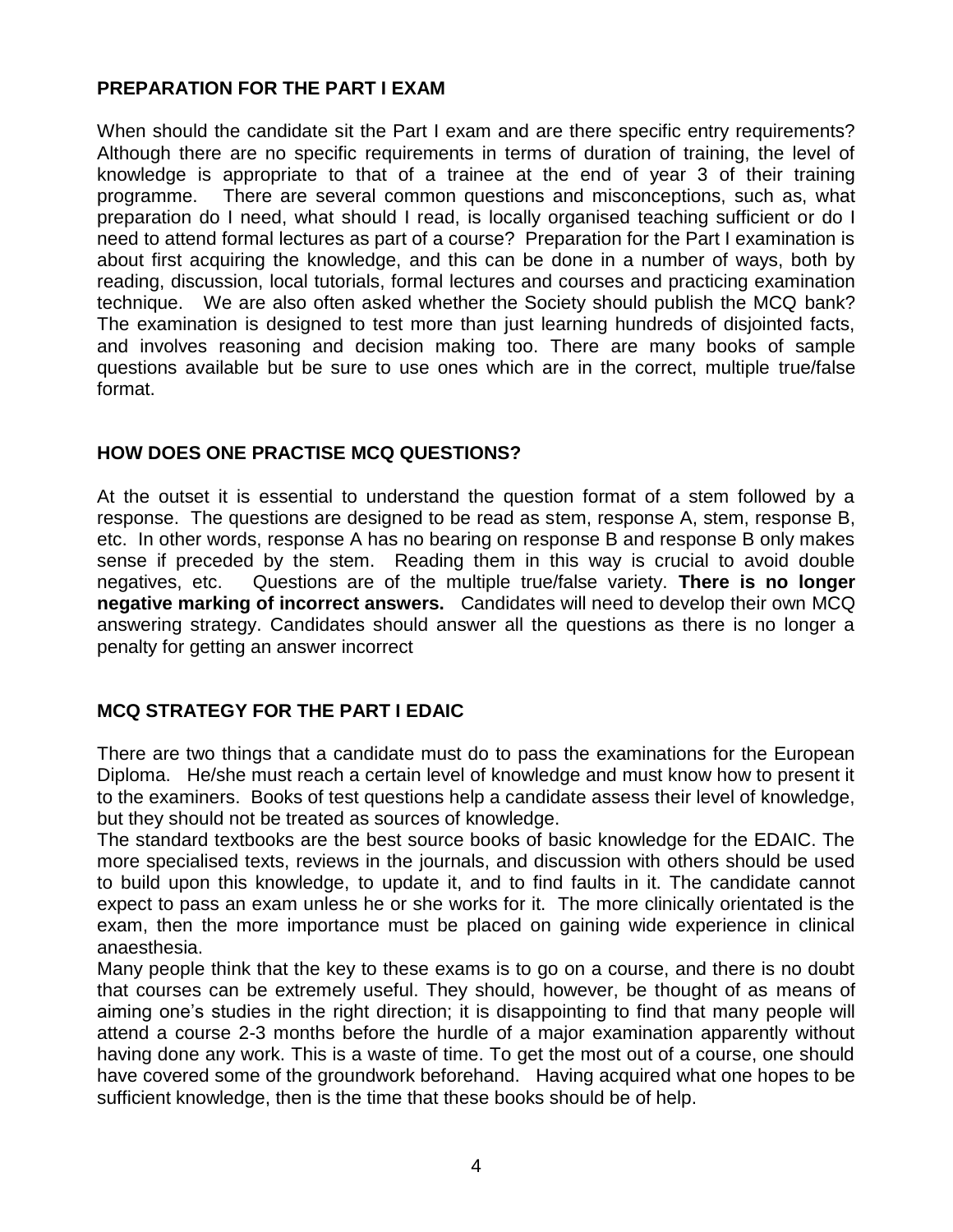# **PREPARATION FOR THE PART I EXAM**

When should the candidate sit the Part I exam and are there specific entry requirements? Although there are no specific requirements in terms of duration of training, the level of knowledge is appropriate to that of a trainee at the end of year 3 of their training programme. There are several common questions and misconceptions, such as, what preparation do I need, what should I read, is locally organised teaching sufficient or do I need to attend formal lectures as part of a course? Preparation for the Part I examination is about first acquiring the knowledge, and this can be done in a number of ways, both by reading, discussion, local tutorials, formal lectures and courses and practicing examination technique. We are also often asked whether the Society should publish the MCQ bank? The examination is designed to test more than just learning hundreds of disjointed facts, and involves reasoning and decision making too. There are many books of sample questions available but be sure to use ones which are in the correct, multiple true/false format.

# **HOW DOES ONE PRACTISE MCQ QUESTIONS?**

At the outset it is essential to understand the question format of a stem followed by a response. The questions are designed to be read as stem, response A, stem, response B, etc. In other words, response A has no bearing on response B and response B only makes sense if preceded by the stem. Reading them in this way is crucial to avoid double negatives, etc. Questions are of the multiple true/false variety. **There is no longer negative marking of incorrect answers.** Candidates will need to develop their own MCQ answering strategy. Candidates should answer all the questions as there is no longer a penalty for getting an answer incorrect

# **MCQ STRATEGY FOR THE PART I EDAIC**

There are two things that a candidate must do to pass the examinations for the European Diploma. He/she must reach a certain level of knowledge and must know how to present it to the examiners. Books of test questions help a candidate assess their level of knowledge, but they should not be treated as sources of knowledge.

The standard textbooks are the best source books of basic knowledge for the EDAIC. The more specialised texts, reviews in the journals, and discussion with others should be used to build upon this knowledge, to update it, and to find faults in it. The candidate cannot expect to pass an exam unless he or she works for it. The more clinically orientated is the exam, then the more importance must be placed on gaining wide experience in clinical anaesthesia.

Many people think that the key to these exams is to go on a course, and there is no doubt that courses can be extremely useful. They should, however, be thought of as means of aiming one's studies in the right direction; it is disappointing to find that many people will attend a course 2-3 months before the hurdle of a major examination apparently without having done any work. This is a waste of time. To get the most out of a course, one should have covered some of the groundwork beforehand. Having acquired what one hopes to be sufficient knowledge, then is the time that these books should be of help.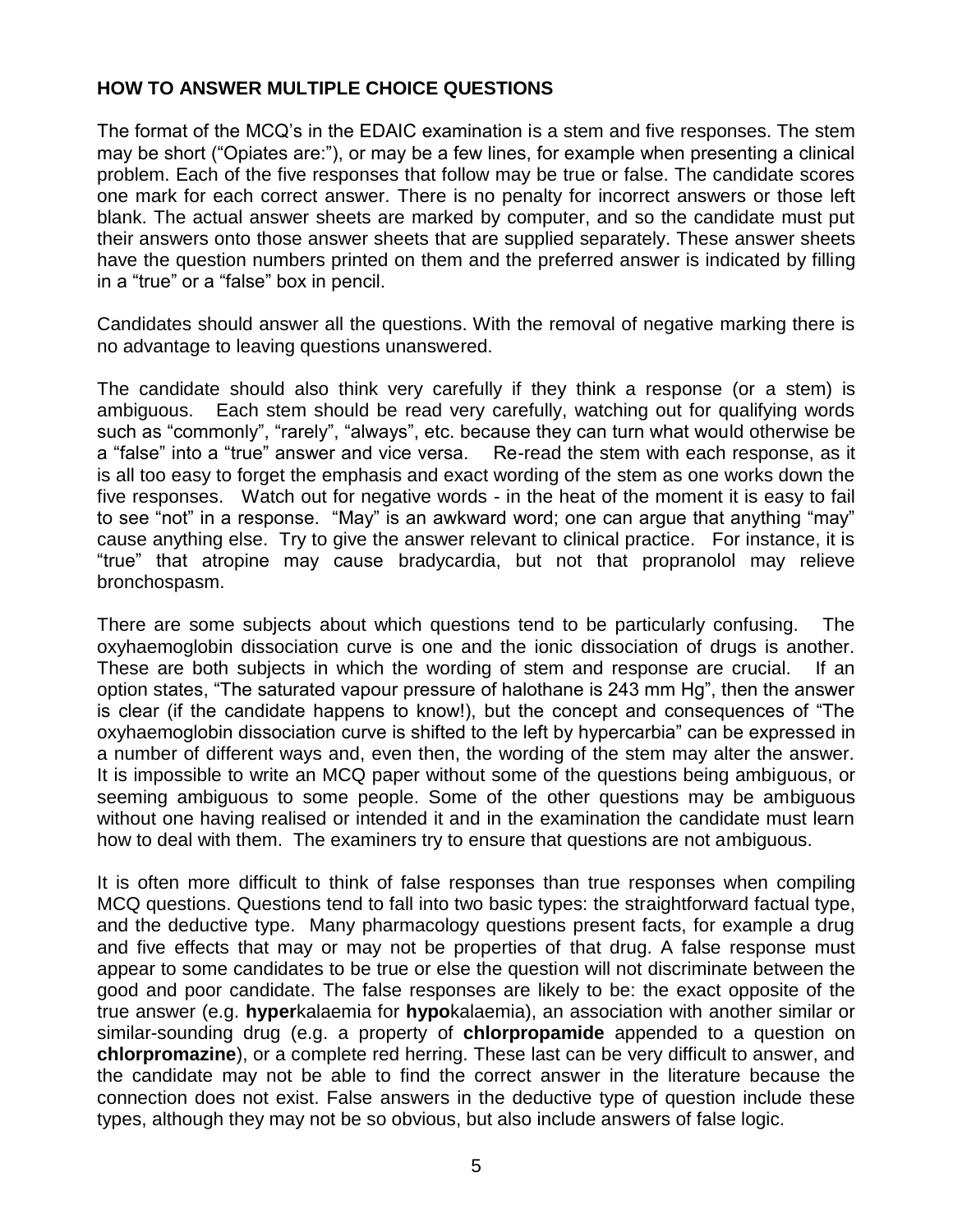# **HOW TO ANSWER MULTIPLE CHOICE QUESTIONS**

The format of the MCQ's in the EDAIC examination is a stem and five responses. The stem may be short ("Opiates are:"), or may be a few lines, for example when presenting a clinical problem. Each of the five responses that follow may be true or false. The candidate scores one mark for each correct answer. There is no penalty for incorrect answers or those left blank. The actual answer sheets are marked by computer, and so the candidate must put their answers onto those answer sheets that are supplied separately. These answer sheets have the question numbers printed on them and the preferred answer is indicated by filling in a "true" or a "false" box in pencil.

Candidates should answer all the questions. With the removal of negative marking there is no advantage to leaving questions unanswered.

The candidate should also think very carefully if they think a response (or a stem) is ambiguous. Each stem should be read very carefully, watching out for qualifying words such as "commonly", "rarely", "always", etc. because they can turn what would otherwise be a "false" into a "true" answer and vice versa. Re-read the stem with each response, as it is all too easy to forget the emphasis and exact wording of the stem as one works down the five responses. Watch out for negative words - in the heat of the moment it is easy to fail to see "not" in a response. "May" is an awkward word; one can argue that anything "may" cause anything else. Try to give the answer relevant to clinical practice. For instance, it is "true" that atropine may cause bradycardia, but not that propranolol may relieve bronchospasm.

There are some subjects about which questions tend to be particularly confusing. The oxyhaemoglobin dissociation curve is one and the ionic dissociation of drugs is another. These are both subjects in which the wording of stem and response are crucial. If an option states, "The saturated vapour pressure of halothane is 243 mm Hg", then the answer is clear (if the candidate happens to know!), but the concept and consequences of "The oxyhaemoglobin dissociation curve is shifted to the left by hypercarbia" can be expressed in a number of different ways and, even then, the wording of the stem may alter the answer. It is impossible to write an MCQ paper without some of the questions being ambiguous, or seeming ambiguous to some people. Some of the other questions may be ambiguous without one having realised or intended it and in the examination the candidate must learn how to deal with them. The examiners try to ensure that questions are not ambiguous.

It is often more difficult to think of false responses than true responses when compiling MCQ questions. Questions tend to fall into two basic types: the straightforward factual type, and the deductive type. Many pharmacology questions present facts, for example a drug and five effects that may or may not be properties of that drug. A false response must appear to some candidates to be true or else the question will not discriminate between the good and poor candidate. The false responses are likely to be: the exact opposite of the true answer (e.g. **hyper**kalaemia for **hypo**kalaemia), an association with another similar or similar-sounding drug (e.g. a property of **chlorpropamide** appended to a question on **chlorpromazine**), or a complete red herring. These last can be very difficult to answer, and the candidate may not be able to find the correct answer in the literature because the connection does not exist. False answers in the deductive type of question include these types, although they may not be so obvious, but also include answers of false logic.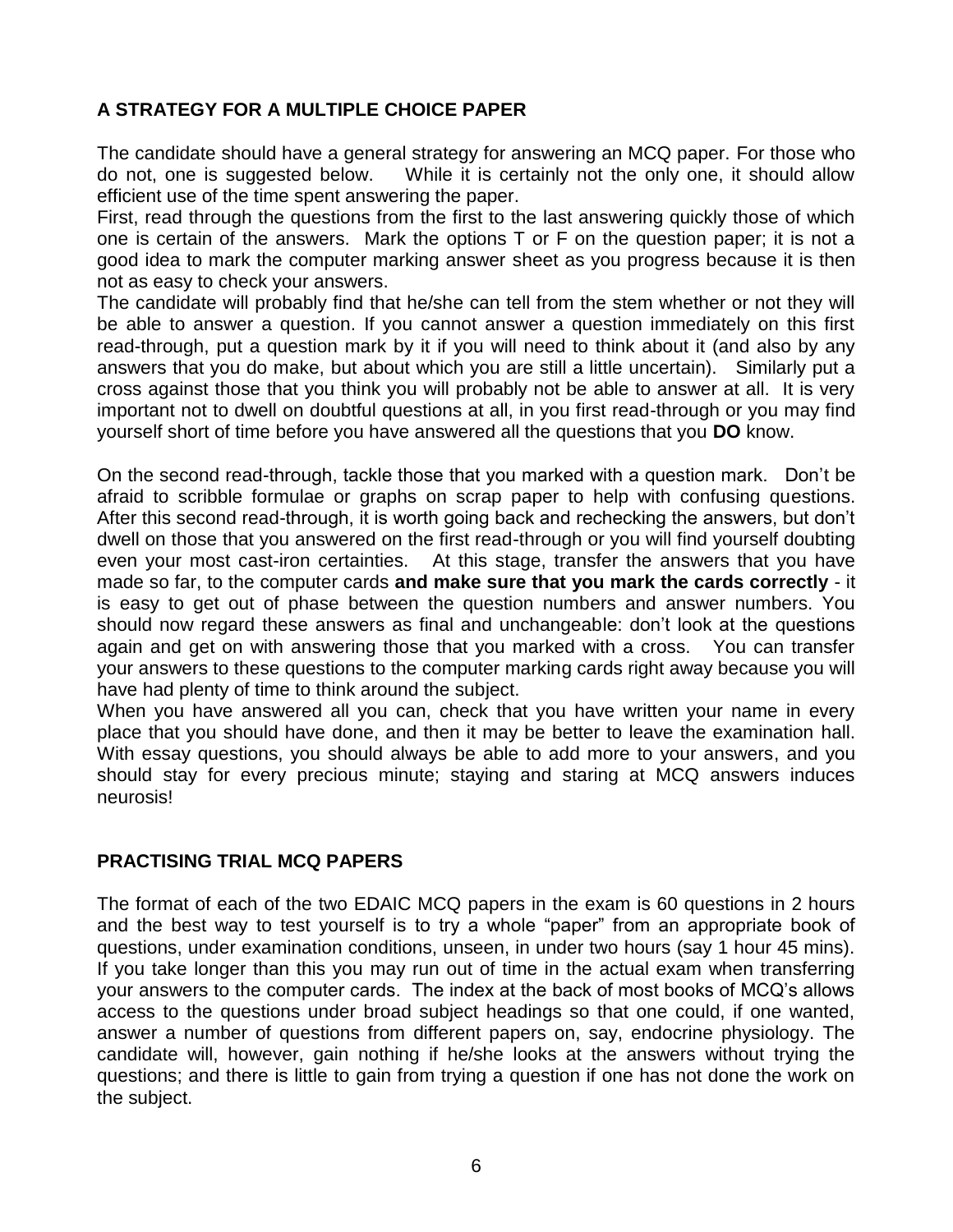# **A STRATEGY FOR A MULTIPLE CHOICE PAPER**

The candidate should have a general strategy for answering an MCQ paper. For those who do not, one is suggested below. While it is certainly not the only one, it should allow efficient use of the time spent answering the paper.

First, read through the questions from the first to the last answering quickly those of which one is certain of the answers. Mark the options T or F on the question paper; it is not a good idea to mark the computer marking answer sheet as you progress because it is then not as easy to check your answers.

The candidate will probably find that he/she can tell from the stem whether or not they will be able to answer a question. If you cannot answer a question immediately on this first read-through, put a question mark by it if you will need to think about it (and also by any answers that you do make, but about which you are still a little uncertain). Similarly put a cross against those that you think you will probably not be able to answer at all. It is very important not to dwell on doubtful questions at all, in you first read-through or you may find yourself short of time before you have answered all the questions that you **DO** know.

On the second read-through, tackle those that you marked with a question mark. Don't be afraid to scribble formulae or graphs on scrap paper to help with confusing questions. After this second read-through, it is worth going back and rechecking the answers, but don't dwell on those that you answered on the first read-through or you will find yourself doubting even your most cast-iron certainties. At this stage, transfer the answers that you have made so far, to the computer cards **and make sure that you mark the cards correctly** - it is easy to get out of phase between the question numbers and answer numbers. You should now regard these answers as final and unchangeable: don't look at the questions again and get on with answering those that you marked with a cross. You can transfer your answers to these questions to the computer marking cards right away because you will have had plenty of time to think around the subject.

When you have answered all you can, check that you have written your name in every place that you should have done, and then it may be better to leave the examination hall. With essay questions, you should always be able to add more to your answers, and you should stay for every precious minute; staying and staring at MCQ answers induces neurosis!

#### **PRACTISING TRIAL MCQ PAPERS**

The format of each of the two EDAIC MCQ papers in the exam is 60 questions in 2 hours and the best way to test yourself is to try a whole "paper" from an appropriate book of questions, under examination conditions, unseen, in under two hours (say 1 hour 45 mins). If you take longer than this you may run out of time in the actual exam when transferring your answers to the computer cards. The index at the back of most books of MCQ's allows access to the questions under broad subject headings so that one could, if one wanted, answer a number of questions from different papers on, say, endocrine physiology. The candidate will, however, gain nothing if he/she looks at the answers without trying the questions; and there is little to gain from trying a question if one has not done the work on the subject.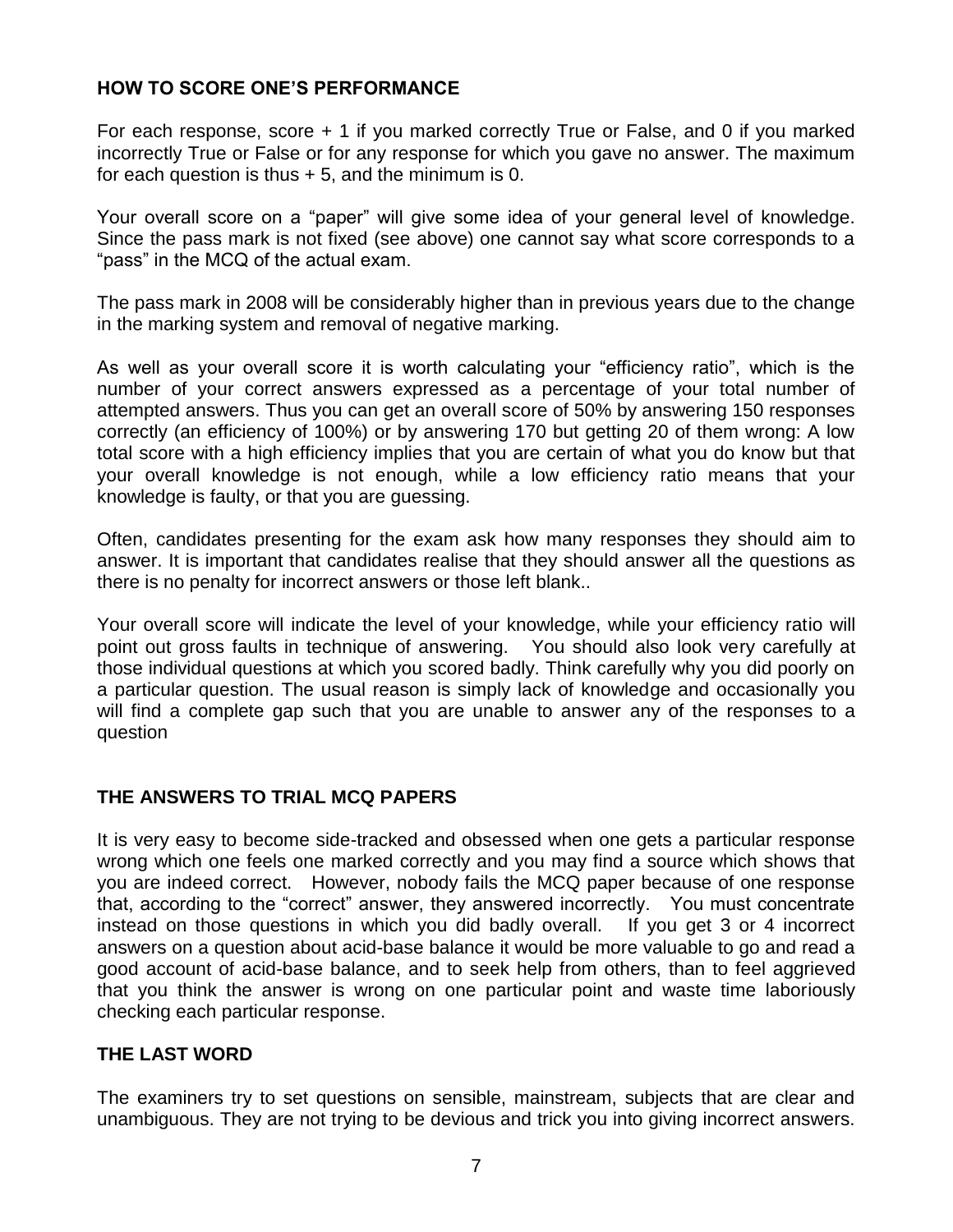# **HOW TO SCORE ONE'S PERFORMANCE**

For each response, score + 1 if you marked correctly True or False, and 0 if you marked incorrectly True or False or for any response for which you gave no answer. The maximum for each question is thus  $+ 5$ , and the minimum is 0.

Your overall score on a "paper" will give some idea of your general level of knowledge. Since the pass mark is not fixed (see above) one cannot say what score corresponds to a "pass" in the MCQ of the actual exam.

The pass mark in 2008 will be considerably higher than in previous years due to the change in the marking system and removal of negative marking.

As well as your overall score it is worth calculating your "efficiency ratio", which is the number of your correct answers expressed as a percentage of your total number of attempted answers. Thus you can get an overall score of 50% by answering 150 responses correctly (an efficiency of 100%) or by answering 170 but getting 20 of them wrong: A low total score with a high efficiency implies that you are certain of what you do know but that your overall knowledge is not enough, while a low efficiency ratio means that your knowledge is faulty, or that you are guessing.

Often, candidates presenting for the exam ask how many responses they should aim to answer. It is important that candidates realise that they should answer all the questions as there is no penalty for incorrect answers or those left blank..

Your overall score will indicate the level of your knowledge, while your efficiency ratio will point out gross faults in technique of answering. You should also look very carefully at those individual questions at which you scored badly. Think carefully why you did poorly on a particular question. The usual reason is simply lack of knowledge and occasionally you will find a complete gap such that you are unable to answer any of the responses to a question

#### **THE ANSWERS TO TRIAL MCQ PAPERS**

It is very easy to become side-tracked and obsessed when one gets a particular response wrong which one feels one marked correctly and you may find a source which shows that you are indeed correct. However, nobody fails the MCQ paper because of one response that, according to the "correct" answer, they answered incorrectly. You must concentrate instead on those questions in which you did badly overall. If you get 3 or 4 incorrect answers on a question about acid-base balance it would be more valuable to go and read a good account of acid-base balance, and to seek help from others, than to feel aggrieved that you think the answer is wrong on one particular point and waste time laboriously checking each particular response.

#### **THE LAST WORD**

The examiners try to set questions on sensible, mainstream, subjects that are clear and unambiguous. They are not trying to be devious and trick you into giving incorrect answers.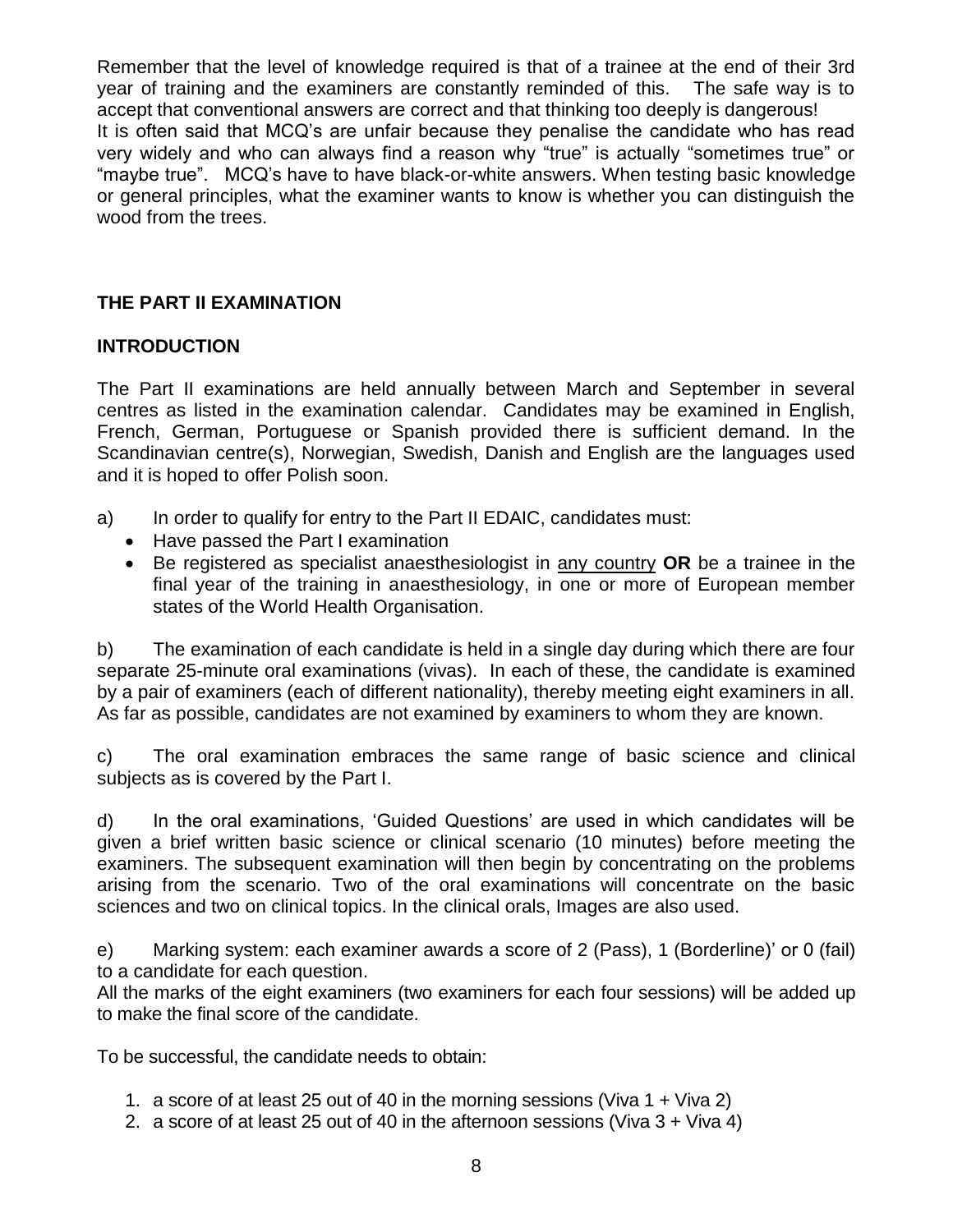Remember that the level of knowledge required is that of a trainee at the end of their 3rd year of training and the examiners are constantly reminded of this. The safe way is to accept that conventional answers are correct and that thinking too deeply is dangerous! It is often said that MCQ's are unfair because they penalise the candidate who has read very widely and who can always find a reason why "true" is actually "sometimes true" or "maybe true". MCQ's have to have black-or-white answers. When testing basic knowledge or general principles, what the examiner wants to know is whether you can distinguish the wood from the trees.

# **THE PART II EXAMINATION**

# **INTRODUCTION**

The Part II examinations are held annually between March and September in several centres as listed in the examination calendar. Candidates may be examined in English, French, German, Portuguese or Spanish provided there is sufficient demand. In the Scandinavian centre(s), Norwegian, Swedish, Danish and English are the languages used and it is hoped to offer Polish soon.

- a) In order to qualify for entry to the Part II EDAIC, candidates must:
	- Have passed the Part I examination
	- Be registered as specialist anaesthesiologist in any country **OR** be a trainee in the final year of the training in anaesthesiology, in one or more of European member states of the World Health Organisation.

b) The examination of each candidate is held in a single day during which there are four separate 25-minute oral examinations (vivas). In each of these, the candidate is examined by a pair of examiners (each of different nationality), thereby meeting eight examiners in all. As far as possible, candidates are not examined by examiners to whom they are known.

c) The oral examination embraces the same range of basic science and clinical subjects as is covered by the Part I.

d) In the oral examinations, 'Guided Questions' are used in which candidates will be given a brief written basic science or clinical scenario (10 minutes) before meeting the examiners. The subsequent examination will then begin by concentrating on the problems arising from the scenario. Two of the oral examinations will concentrate on the basic sciences and two on clinical topics. In the clinical orals, Images are also used.

e) Marking system: each examiner awards a score of 2 (Pass), 1 (Borderline)' or 0 (fail) to a candidate for each question.

All the marks of the eight examiners (two examiners for each four sessions) will be added up to make the final score of the candidate.

To be successful, the candidate needs to obtain:

- 1. a score of at least 25 out of 40 in the morning sessions (Viva 1 + Viva 2)
- 2. a score of at least 25 out of 40 in the afternoon sessions (Viva 3 + Viva 4)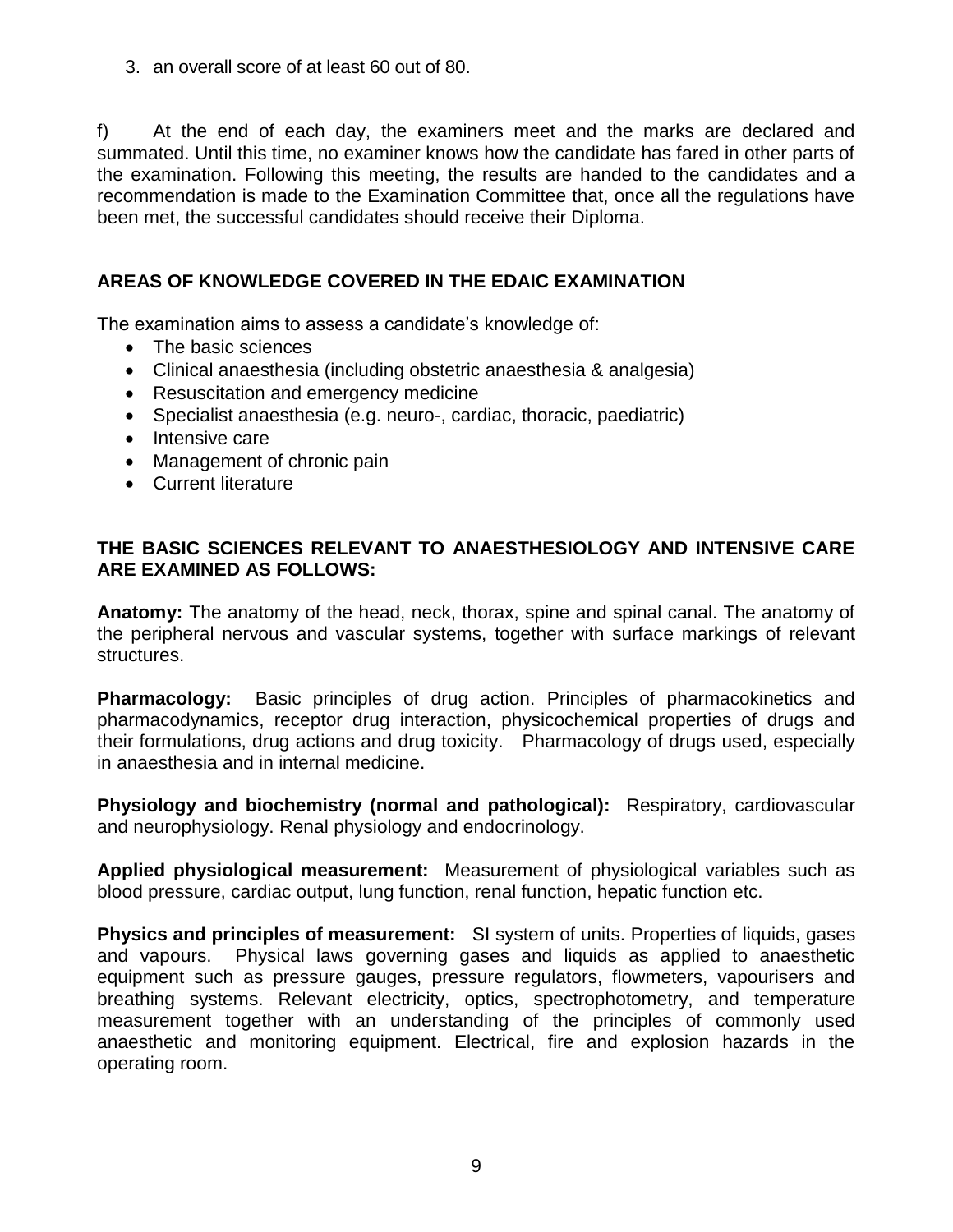3. an overall score of at least 60 out of 80.

f) At the end of each day, the examiners meet and the marks are declared and summated. Until this time, no examiner knows how the candidate has fared in other parts of the examination. Following this meeting, the results are handed to the candidates and a recommendation is made to the Examination Committee that, once all the regulations have been met, the successful candidates should receive their Diploma.

# **AREAS OF KNOWLEDGE COVERED IN THE EDAIC EXAMINATION**

The examination aims to assess a candidate's knowledge of:

- The basic sciences
- Clinical anaesthesia (including obstetric anaesthesia & analgesia)
- Resuscitation and emergency medicine
- Specialist anaesthesia (e.g. neuro-, cardiac, thoracic, paediatric)
- Intensive care
- Management of chronic pain
- Current literature

# **THE BASIC SCIENCES RELEVANT TO ANAESTHESIOLOGY AND INTENSIVE CARE ARE EXAMINED AS FOLLOWS:**

**Anatomy:** The anatomy of the head, neck, thorax, spine and spinal canal. The anatomy of the peripheral nervous and vascular systems, together with surface markings of relevant structures.

**Pharmacology:** Basic principles of drug action. Principles of pharmacokinetics and pharmacodynamics, receptor drug interaction, physicochemical properties of drugs and their formulations, drug actions and drug toxicity. Pharmacology of drugs used, especially in anaesthesia and in internal medicine.

**Physiology and biochemistry (normal and pathological):** Respiratory, cardiovascular and neurophysiology. Renal physiology and endocrinology.

**Applied physiological measurement:** Measurement of physiological variables such as blood pressure, cardiac output, lung function, renal function, hepatic function etc.

**Physics and principles of measurement:** SI system of units. Properties of liquids, gases and vapours. Physical laws governing gases and liquids as applied to anaesthetic equipment such as pressure gauges, pressure regulators, flowmeters, vapourisers and breathing systems. Relevant electricity, optics, spectrophotometry, and temperature measurement together with an understanding of the principles of commonly used anaesthetic and monitoring equipment. Electrical, fire and explosion hazards in the operating room.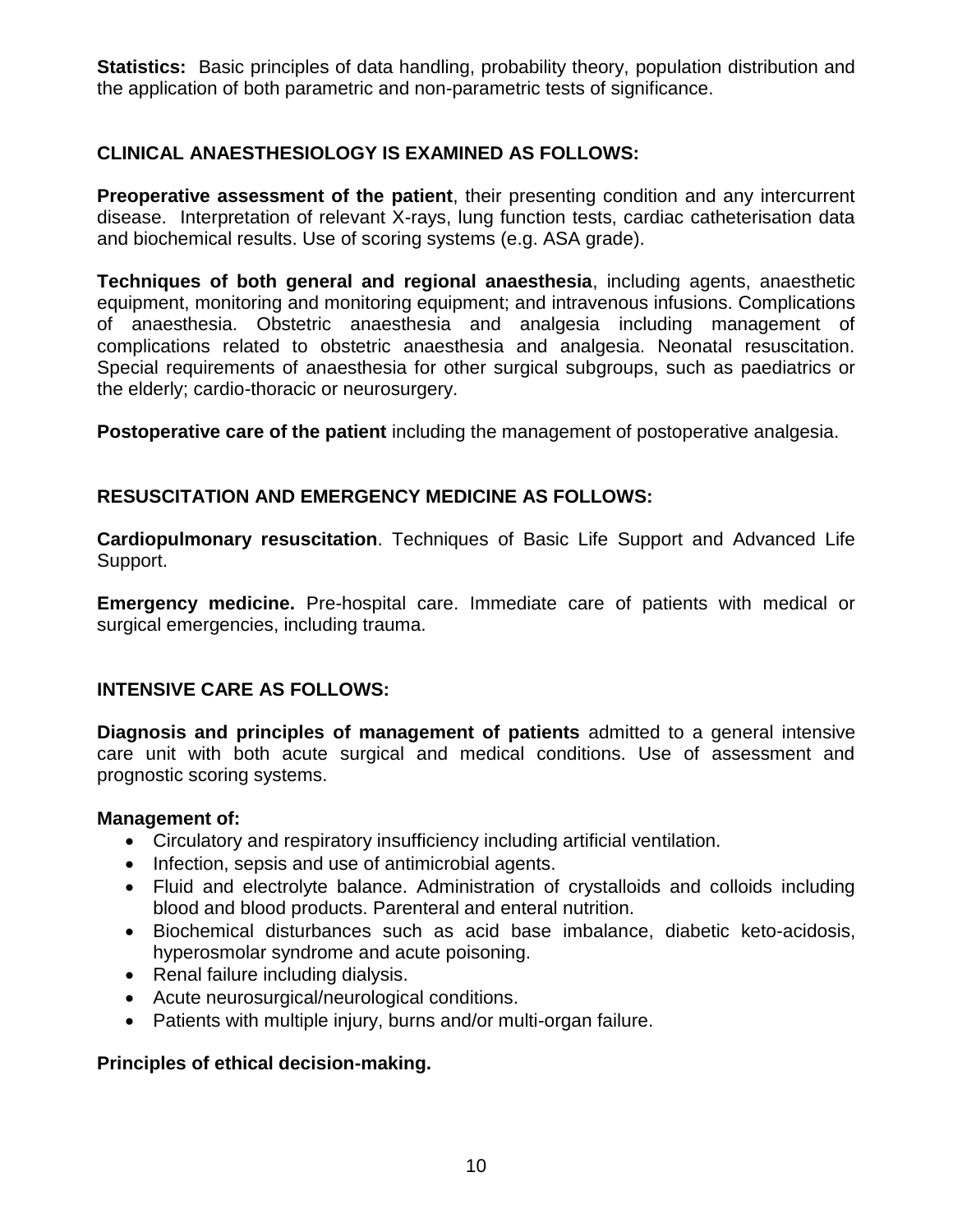**Statistics:** Basic principles of data handling, probability theory, population distribution and the application of both parametric and non-parametric tests of significance.

# **CLINICAL ANAESTHESIOLOGY IS EXAMINED AS FOLLOWS:**

**Preoperative assessment of the patient**, their presenting condition and any intercurrent disease. Interpretation of relevant X-rays, lung function tests, cardiac catheterisation data and biochemical results. Use of scoring systems (e.g. ASA grade).

**Techniques of both general and regional anaesthesia**, including agents, anaesthetic equipment, monitoring and monitoring equipment; and intravenous infusions. Complications of anaesthesia. Obstetric anaesthesia and analgesia including management of complications related to obstetric anaesthesia and analgesia. Neonatal resuscitation. Special requirements of anaesthesia for other surgical subgroups, such as paediatrics or the elderly; cardio-thoracic or neurosurgery.

**Postoperative care of the patient** including the management of postoperative analgesia.

# **RESUSCITATION AND EMERGENCY MEDICINE AS FOLLOWS:**

**Cardiopulmonary resuscitation**. Techniques of Basic Life Support and Advanced Life Support.

**Emergency medicine.** Pre-hospital care. Immediate care of patients with medical or surgical emergencies, including trauma.

#### **INTENSIVE CARE AS FOLLOWS:**

**Diagnosis and principles of management of patients** admitted to a general intensive care unit with both acute surgical and medical conditions. Use of assessment and prognostic scoring systems.

#### **Management of:**

- Circulatory and respiratory insufficiency including artificial ventilation.
- Infection, sepsis and use of antimicrobial agents.
- Fluid and electrolyte balance. Administration of crystalloids and colloids including blood and blood products. Parenteral and enteral nutrition.
- Biochemical disturbances such as acid base imbalance, diabetic keto-acidosis, hyperosmolar syndrome and acute poisoning.
- Renal failure including dialysis.
- Acute neurosurgical/neurological conditions.
- Patients with multiple injury, burns and/or multi-organ failure.

#### **Principles of ethical decision-making.**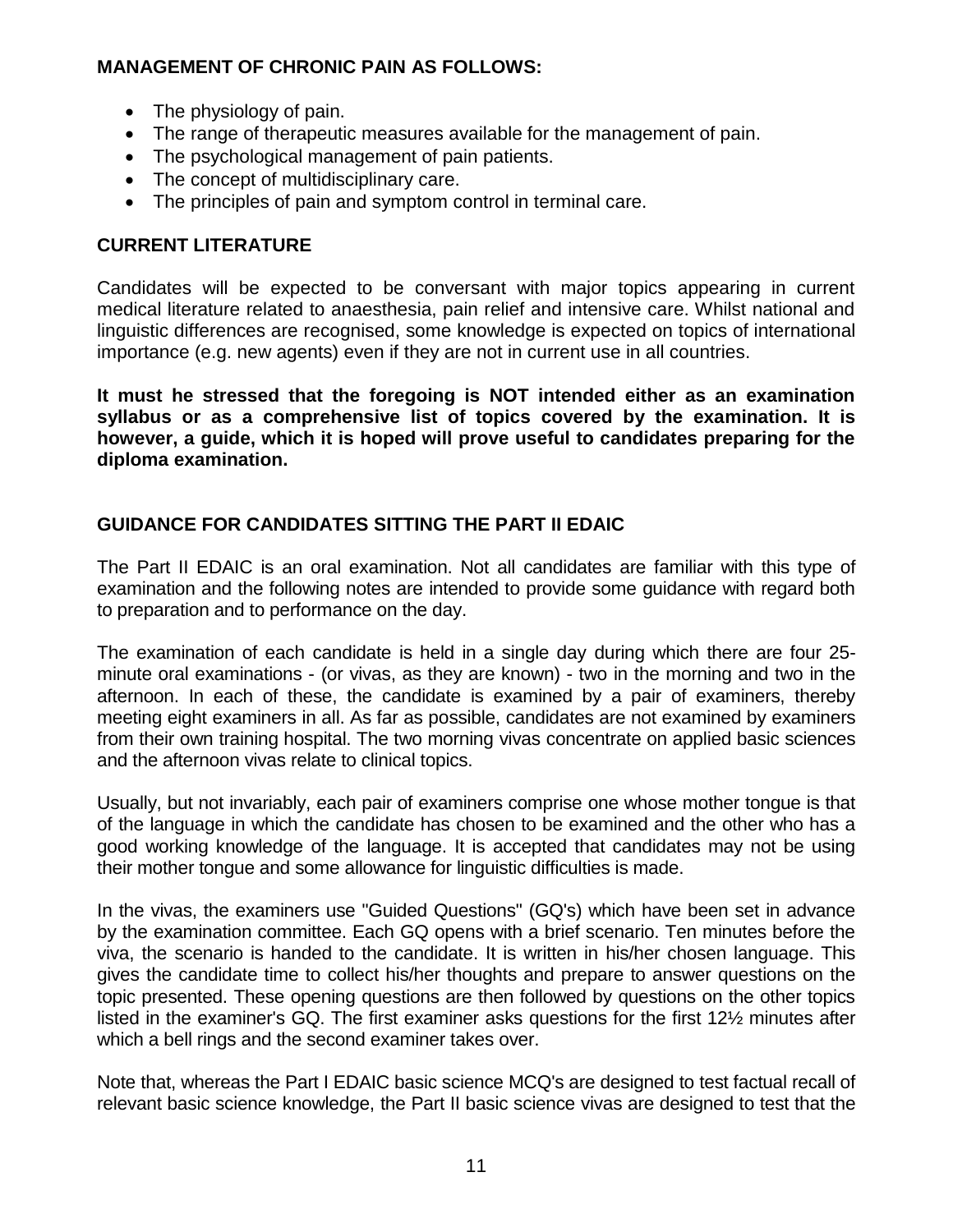# **MANAGEMENT OF CHRONIC PAIN AS FOLLOWS:**

- The physiology of pain.
- The range of therapeutic measures available for the management of pain.
- The psychological management of pain patients.
- The concept of multidisciplinary care.
- The principles of pain and symptom control in terminal care.

# **CURRENT LITERATURE**

Candidates will be expected to be conversant with major topics appearing in current medical literature related to anaesthesia, pain relief and intensive care. Whilst national and linguistic differences are recognised, some knowledge is expected on topics of international importance (e.g. new agents) even if they are not in current use in all countries.

**It must he stressed that the foregoing is NOT intended either as an examination syllabus or as a comprehensive list of topics covered by the examination. It is however, a guide, which it is hoped will prove useful to candidates preparing for the diploma examination.**

# **GUIDANCE FOR CANDIDATES SITTING THE PART II EDAIC**

The Part II EDAIC is an oral examination. Not all candidates are familiar with this type of examination and the following notes are intended to provide some guidance with regard both to preparation and to performance on the day.

The examination of each candidate is held in a single day during which there are four 25 minute oral examinations - (or vivas, as they are known) - two in the morning and two in the afternoon. In each of these, the candidate is examined by a pair of examiners, thereby meeting eight examiners in all. As far as possible, candidates are not examined by examiners from their own training hospital. The two morning vivas concentrate on applied basic sciences and the afternoon vivas relate to clinical topics.

Usually, but not invariably, each pair of examiners comprise one whose mother tongue is that of the language in which the candidate has chosen to be examined and the other who has a good working knowledge of the language. It is accepted that candidates may not be using their mother tongue and some allowance for linguistic difficulties is made.

In the vivas, the examiners use "Guided Questions" (GQ's) which have been set in advance by the examination committee. Each GQ opens with a brief scenario. Ten minutes before the viva, the scenario is handed to the candidate. It is written in his/her chosen language. This gives the candidate time to collect his/her thoughts and prepare to answer questions on the topic presented. These opening questions are then followed by questions on the other topics listed in the examiner's GQ. The first examiner asks questions for the first 12½ minutes after which a bell rings and the second examiner takes over.

Note that, whereas the Part I EDAIC basic science MCQ's are designed to test factual recall of relevant basic science knowledge, the Part II basic science vivas are designed to test that the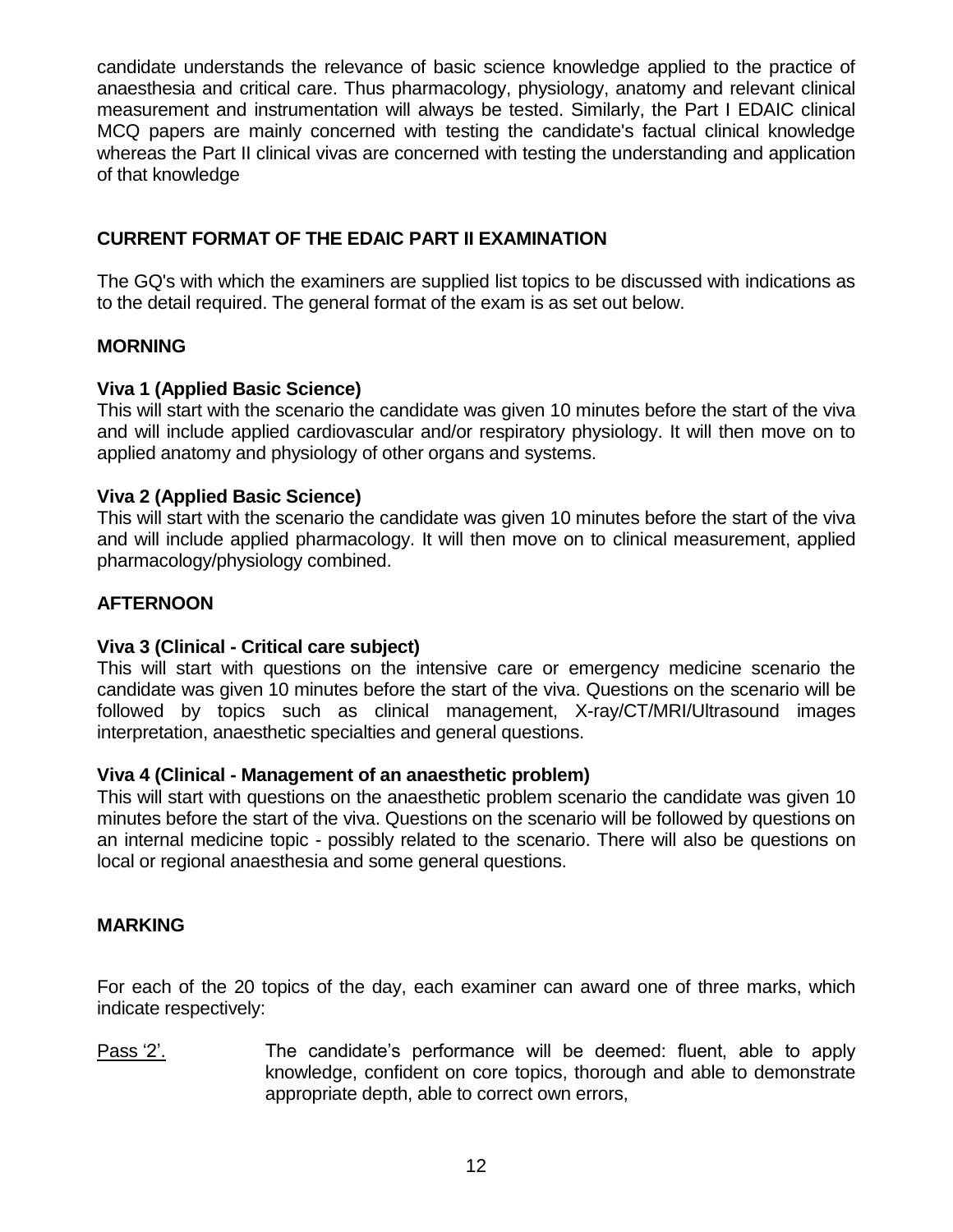candidate understands the relevance of basic science knowledge applied to the practice of anaesthesia and critical care. Thus pharmacology, physiology, anatomy and relevant clinical measurement and instrumentation will always be tested. Similarly, the Part I EDAIC clinical MCQ papers are mainly concerned with testing the candidate's factual clinical knowledge whereas the Part II clinical vivas are concerned with testing the understanding and application of that knowledge

# **CURRENT FORMAT OF THE EDAIC PART II EXAMINATION**

The GQ's with which the examiners are supplied list topics to be discussed with indications as to the detail required. The general format of the exam is as set out below.

# **MORNING**

# **Viva 1 (Applied Basic Science)**

This will start with the scenario the candidate was given 10 minutes before the start of the viva and will include applied cardiovascular and/or respiratory physiology. It will then move on to applied anatomy and physiology of other organs and systems.

# **Viva 2 (Applied Basic Science)**

This will start with the scenario the candidate was given 10 minutes before the start of the viva and will include applied pharmacology. It will then move on to clinical measurement, applied pharmacology/physiology combined.

# **AFTERNOON**

# **Viva 3 (Clinical - Critical care subject)**

This will start with questions on the intensive care or emergency medicine scenario the candidate was given 10 minutes before the start of the viva. Questions on the scenario will be followed by topics such as clinical management, X-ray/CT/MRI/Ultrasound images interpretation, anaesthetic specialties and general questions.

#### **Viva 4 (Clinical - Management of an anaesthetic problem)**

This will start with questions on the anaesthetic problem scenario the candidate was given 10 minutes before the start of the viva. Questions on the scenario will be followed by questions on an internal medicine topic - possibly related to the scenario. There will also be questions on local or regional anaesthesia and some general questions.

#### **MARKING**

For each of the 20 topics of the day, each examiner can award one of three marks, which indicate respectively:

Pass '2'. The candidate's performance will be deemed: fluent, able to apply knowledge, confident on core topics, thorough and able to demonstrate appropriate depth, able to correct own errors,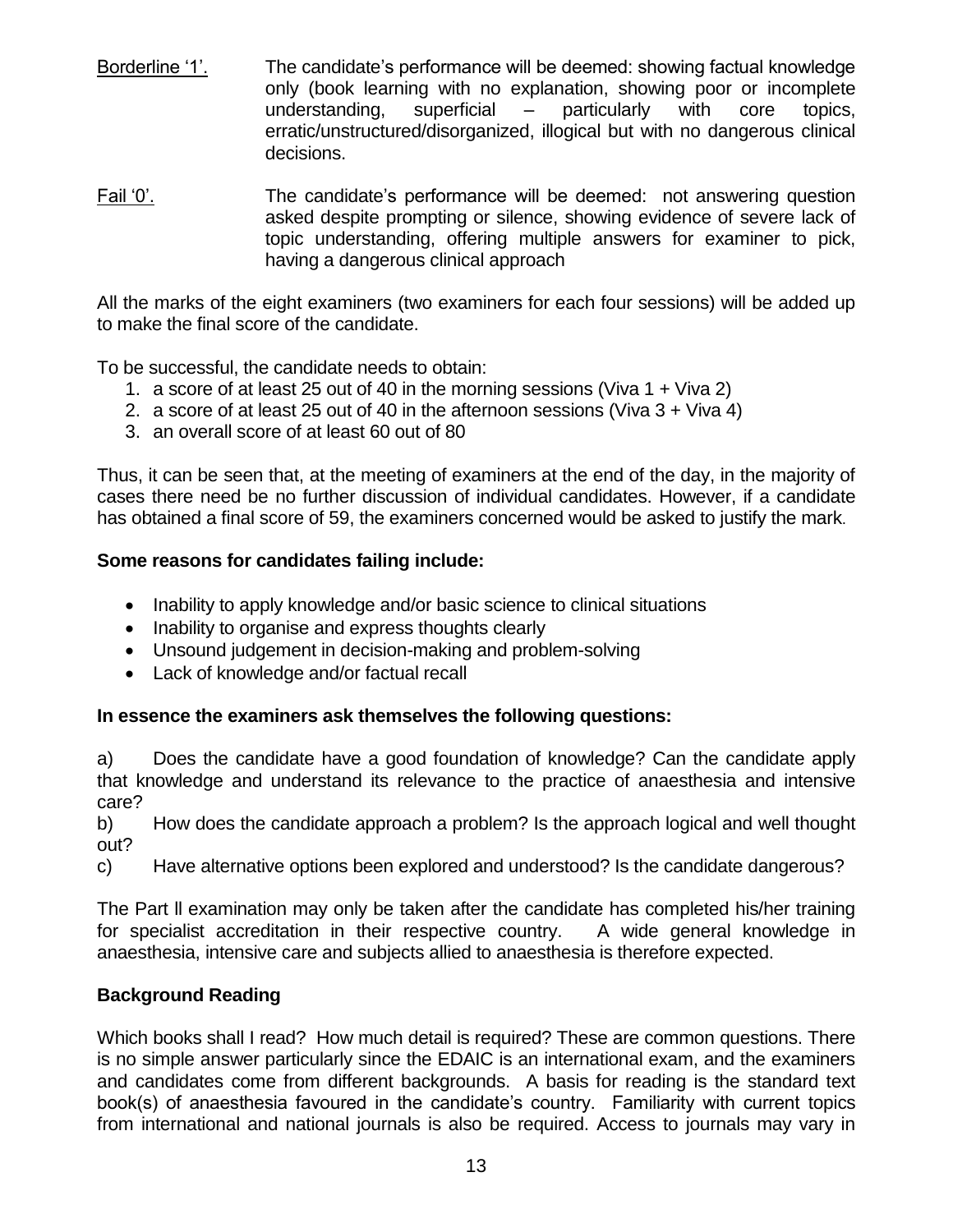- Borderline '1'. The candidate's performance will be deemed: showing factual knowledge only (book learning with no explanation, showing poor or incomplete understanding, superficial – particularly with core topics, erratic/unstructured/disorganized, illogical but with no dangerous clinical decisions.
- Fail '0'. The candidate's performance will be deemed: not answering question asked despite prompting or silence, showing evidence of severe lack of topic understanding, offering multiple answers for examiner to pick, having a dangerous clinical approach

All the marks of the eight examiners (two examiners for each four sessions) will be added up to make the final score of the candidate.

To be successful, the candidate needs to obtain:

- 1. a score of at least 25 out of 40 in the morning sessions (Viva 1 + Viva 2)
- 2. a score of at least 25 out of 40 in the afternoon sessions (Viva 3 + Viva 4)
- 3. an overall score of at least 60 out of 80

Thus, it can be seen that, at the meeting of examiners at the end of the day, in the majority of cases there need be no further discussion of individual candidates. However, if a candidate has obtained a final score of 59, the examiners concerned would be asked to justify the mark.

#### **Some reasons for candidates failing include:**

- Inability to apply knowledge and/or basic science to clinical situations
- Inability to organise and express thoughts clearly
- Unsound judgement in decision-making and problem-solving
- Lack of knowledge and/or factual recall

#### **In essence the examiners ask themselves the following questions:**

a) Does the candidate have a good foundation of knowledge? Can the candidate apply that knowledge and understand its relevance to the practice of anaesthesia and intensive care?

b) How does the candidate approach a problem? Is the approach logical and well thought out?

c) Have alternative options been explored and understood? Is the candidate dangerous?

The Part ll examination may only be taken after the candidate has completed his/her training for specialist accreditation in their respective country. A wide general knowledge in anaesthesia, intensive care and subjects allied to anaesthesia is therefore expected.

#### **Background Reading**

Which books shall I read? How much detail is required? These are common questions. There is no simple answer particularly since the EDAIC is an international exam, and the examiners and candidates come from different backgrounds. A basis for reading is the standard text book(s) of anaesthesia favoured in the candidate's country. Familiarity with current topics from international and national journals is also be required. Access to journals may vary in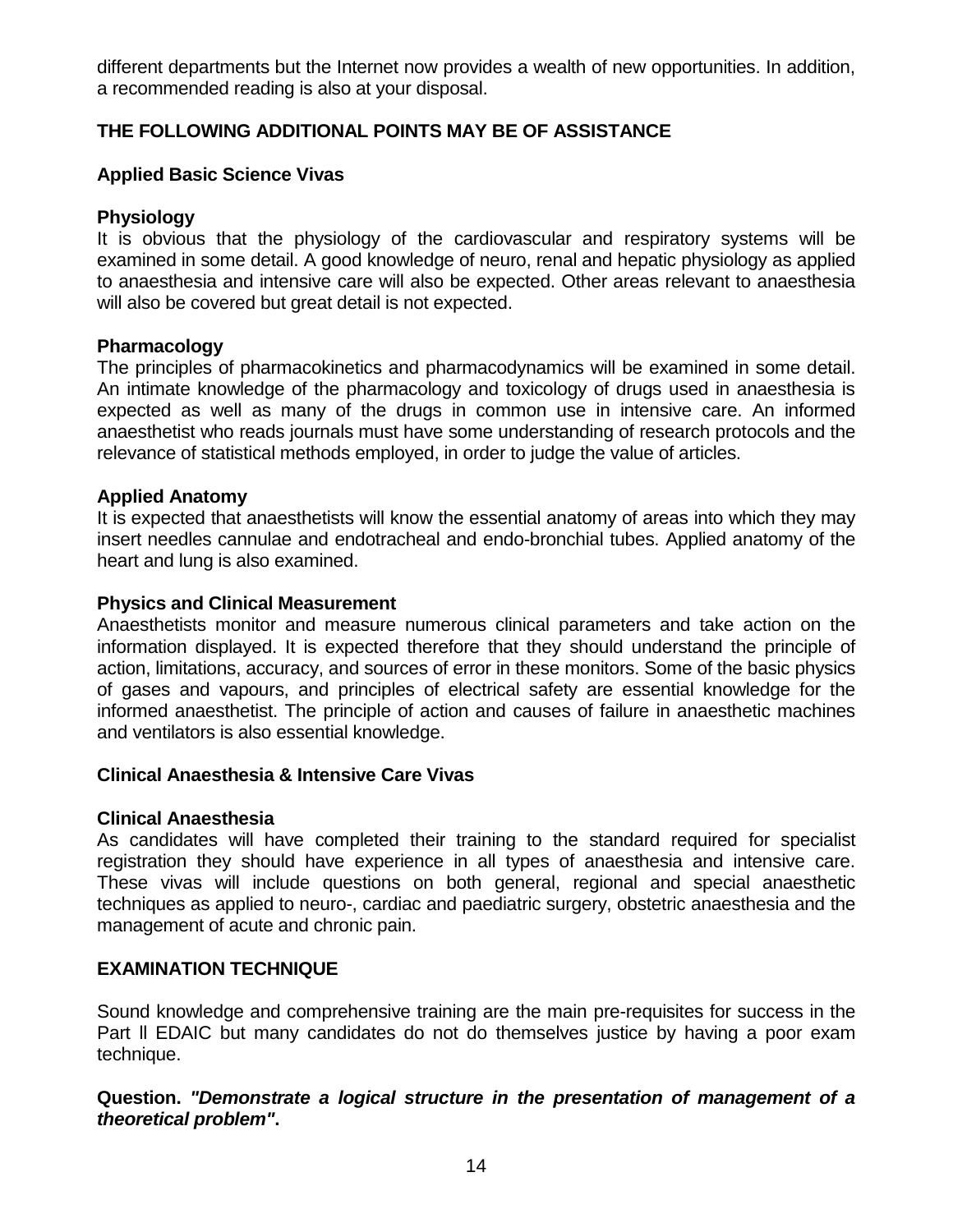different departments but the Internet now provides a wealth of new opportunities. In addition, a recommended reading is also at your disposal.

# **THE FOLLOWING ADDITIONAL POINTS MAY BE OF ASSISTANCE**

#### **Applied Basic Science Vivas**

#### **Physiology**

It is obvious that the physiology of the cardiovascular and respiratory systems will be examined in some detail. A good knowledge of neuro, renal and hepatic physiology as applied to anaesthesia and intensive care will also be expected. Other areas relevant to anaesthesia will also be covered but great detail is not expected.

#### **Pharmacology**

The principles of pharmacokinetics and pharmacodynamics will be examined in some detail. An intimate knowledge of the pharmacology and toxicology of drugs used in anaesthesia is expected as well as many of the drugs in common use in intensive care. An informed anaesthetist who reads journals must have some understanding of research protocols and the relevance of statistical methods employed, in order to judge the value of articles.

#### **Applied Anatomy**

It is expected that anaesthetists will know the essential anatomy of areas into which they may insert needles cannulae and endotracheal and endo-bronchial tubes. Applied anatomy of the heart and lung is also examined.

#### **Physics and Clinical Measurement**

Anaesthetists monitor and measure numerous clinical parameters and take action on the information displayed. It is expected therefore that they should understand the principle of action, limitations, accuracy, and sources of error in these monitors. Some of the basic physics of gases and vapours, and principles of electrical safety are essential knowledge for the informed anaesthetist. The principle of action and causes of failure in anaesthetic machines and ventilators is also essential knowledge.

#### **Clinical Anaesthesia & Intensive Care Vivas**

#### **Clinical Anaesthesia**

As candidates will have completed their training to the standard required for specialist registration they should have experience in all types of anaesthesia and intensive care. These vivas will include questions on both general, regional and special anaesthetic techniques as applied to neuro-, cardiac and paediatric surgery, obstetric anaesthesia and the management of acute and chronic pain.

#### **EXAMINATION TECHNIQUE**

Sound knowledge and comprehensive training are the main pre-requisites for success in the Part ll EDAIC but many candidates do not do themselves justice by having a poor exam technique.

#### **Question.** *"Demonstrate a logical structure in the presentation of management of a theoretical problem"***.**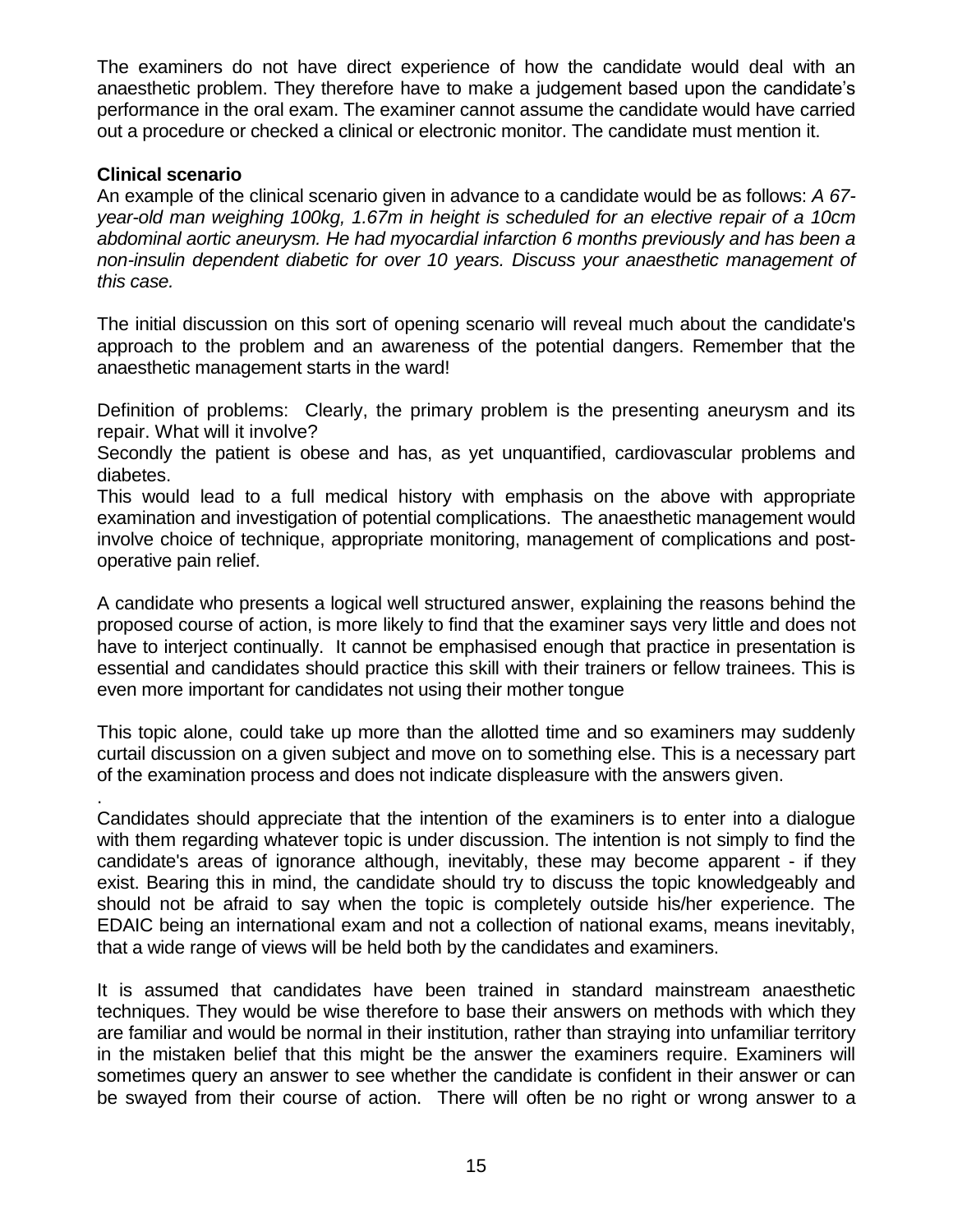The examiners do not have direct experience of how the candidate would deal with an anaesthetic problem. They therefore have to make a judgement based upon the candidate's performance in the oral exam. The examiner cannot assume the candidate would have carried out a procedure or checked a clinical or electronic monitor. The candidate must mention it.

#### **Clinical scenario**

An example of the clinical scenario given in advance to a candidate would be as follows: *A 67 year-old man weighing 100kg, 1.67m in height is scheduled for an elective repair of a 10cm abdominal aortic aneurysm. He had myocardial infarction 6 months previously and has been a non-insulin dependent diabetic for over 10 years. Discuss your anaesthetic management of this case.* 

The initial discussion on this sort of opening scenario will reveal much about the candidate's approach to the problem and an awareness of the potential dangers. Remember that the anaesthetic management starts in the ward!

Definition of problems: Clearly, the primary problem is the presenting aneurysm and its repair. What will it involve?

Secondly the patient is obese and has, as yet unquantified, cardiovascular problems and diabetes.

This would lead to a full medical history with emphasis on the above with appropriate examination and investigation of potential complications. The anaesthetic management would involve choice of technique, appropriate monitoring, management of complications and postoperative pain relief.

A candidate who presents a logical well structured answer, explaining the reasons behind the proposed course of action, is more likely to find that the examiner says very little and does not have to interject continually. It cannot be emphasised enough that practice in presentation is essential and candidates should practice this skill with their trainers or fellow trainees. This is even more important for candidates not using their mother tongue

This topic alone, could take up more than the allotted time and so examiners may suddenly curtail discussion on a given subject and move on to something else. This is a necessary part of the examination process and does not indicate displeasure with the answers given.

. Candidates should appreciate that the intention of the examiners is to enter into a dialogue with them regarding whatever topic is under discussion. The intention is not simply to find the candidate's areas of ignorance although, inevitably, these may become apparent - if they exist. Bearing this in mind, the candidate should try to discuss the topic knowledgeably and should not be afraid to say when the topic is completely outside his/her experience. The EDAIC being an international exam and not a collection of national exams, means inevitably, that a wide range of views will be held both by the candidates and examiners.

It is assumed that candidates have been trained in standard mainstream anaesthetic techniques. They would be wise therefore to base their answers on methods with which they are familiar and would be normal in their institution, rather than straying into unfamiliar territory in the mistaken belief that this might be the answer the examiners require. Examiners will sometimes query an answer to see whether the candidate is confident in their answer or can be swayed from their course of action. There will often be no right or wrong answer to a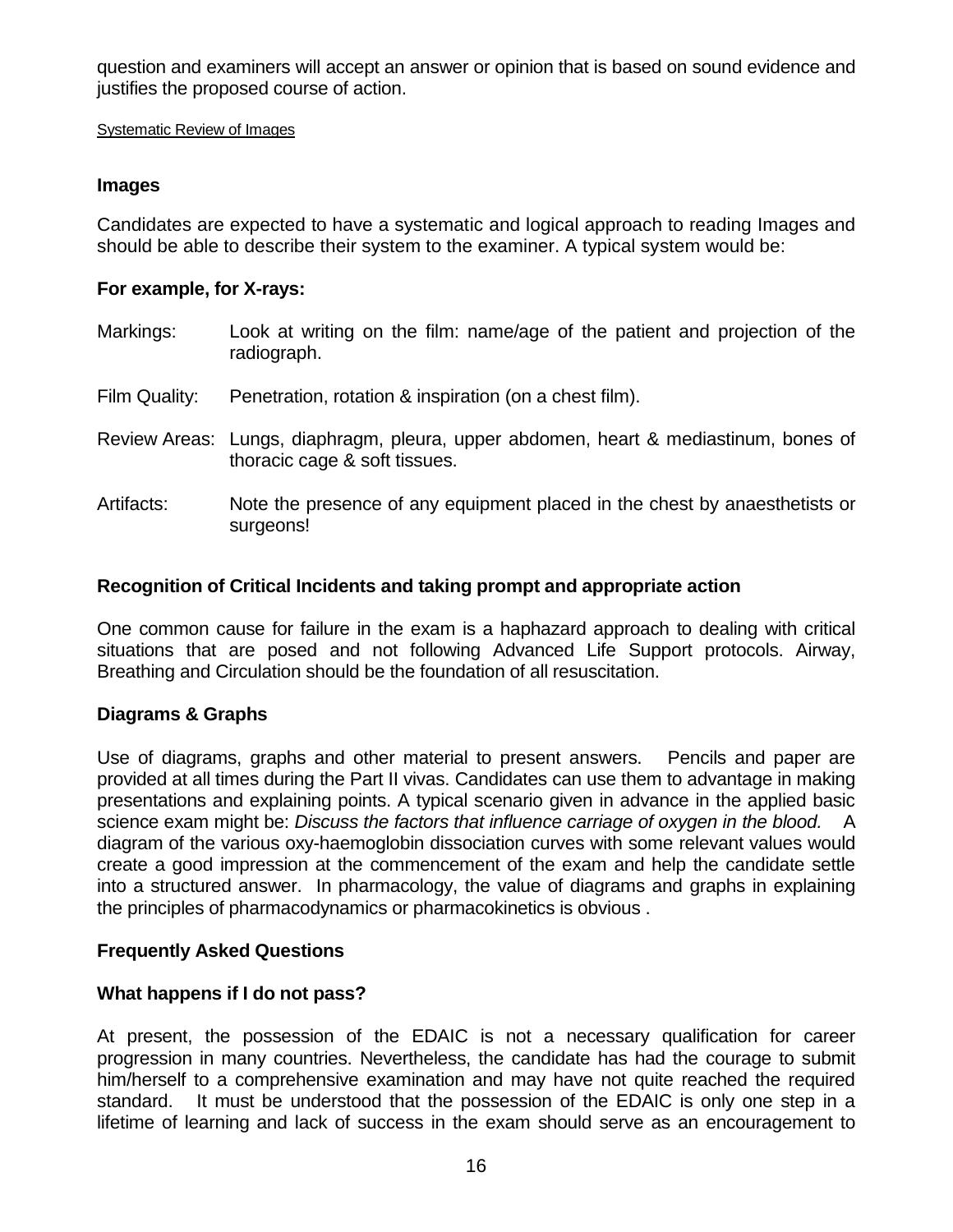question and examiners will accept an answer or opinion that is based on sound evidence and justifies the proposed course of action.

#### Systematic Review of Images

# **Images**

Candidates are expected to have a systematic and logical approach to reading Images and should be able to describe their system to the examiner. A typical system would be:

# **For example, for X-rays:**

- Markings: Look at writing on the film: name/age of the patient and projection of the radiograph.
- Film Quality: Penetration, rotation & inspiration (on a chest film).
- Review Areas: Lungs, diaphragm, pleura, upper abdomen, heart & mediastinum, bones of thoracic cage & soft tissues.
- Artifacts: Note the presence of any equipment placed in the chest by anaesthetists or surgeons!

# **Recognition of Critical Incidents and taking prompt and appropriate action**

One common cause for failure in the exam is a haphazard approach to dealing with critical situations that are posed and not following Advanced Life Support protocols. Airway, Breathing and Circulation should be the foundation of all resuscitation.

# **Diagrams & Graphs**

Use of diagrams, graphs and other material to present answers. Pencils and paper are provided at all times during the Part II vivas. Candidates can use them to advantage in making presentations and explaining points. A typical scenario given in advance in the applied basic science exam might be: *Discuss the factors that influence carriage of oxygen in the blood.* A diagram of the various oxy-haemoglobin dissociation curves with some relevant values would create a good impression at the commencement of the exam and help the candidate settle into a structured answer. In pharmacology, the value of diagrams and graphs in explaining the principles of pharmacodynamics or pharmacokinetics is obvious .

# **Frequently Asked Questions**

# **What happens if I do not pass?**

At present, the possession of the EDAIC is not a necessary qualification for career progression in many countries. Nevertheless, the candidate has had the courage to submit him/herself to a comprehensive examination and may have not quite reached the required standard. It must be understood that the possession of the EDAIC is only one step in a lifetime of learning and lack of success in the exam should serve as an encouragement to